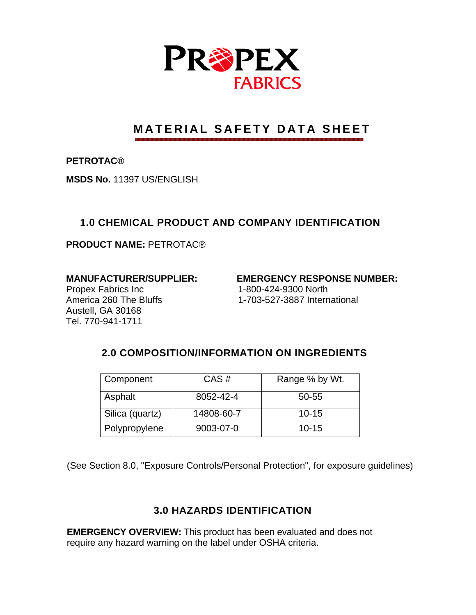

# **MATERIAL SAFETY DATA SHEET**

**PETROTAC®** 

**MSDS No.** 11397 US/ENGLISH

## **1.0 CHEMICAL PRODUCT AND COMPANY IDENTIFICATION**

**PRODUCT NAME:** PETROTAC®

Propex Fabrics Inc 1-800-424-9300 North Austell, GA 30168 Tel. 770-941-1711

**MANUFACTURER/SUPPLIER: EMERGENCY RESPONSE NUMBER:** 

America 260 The Bluffs 1-703-527-3887 International

## **2.0 COMPOSITION/INFORMATION ON INGREDIENTS**

| Component       | CAS#       | Range % by Wt. |
|-----------------|------------|----------------|
| Asphalt         | 8052-42-4  | 50-55          |
| Silica (quartz) | 14808-60-7 | $10 - 15$      |
| Polypropylene   | 9003-07-0  | $10 - 15$      |

(See Section 8.0, "Exposure Controls/Personal Protection", for exposure guidelines)

## **3.0 HAZARDS IDENTIFICATION**

**EMERGENCY OVERVIEW:** This product has been evaluated and does not require any hazard warning on the label under OSHA criteria.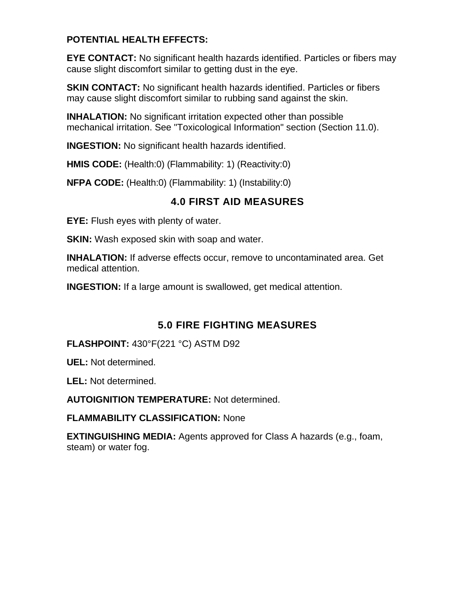### **POTENTIAL HEALTH EFFECTS:**

**EYE CONTACT:** No significant health hazards identified. Particles or fibers may cause slight discomfort similar to getting dust in the eye.

**SKIN CONTACT:** No significant health hazards identified. Particles or fibers may cause slight discomfort similar to rubbing sand against the skin.

**INHALATION:** No significant irritation expected other than possible mechanical irritation. See "Toxicological Information" section (Section 11.0).

**INGESTION:** No significant health hazards identified.

**HMIS CODE:** (Health:0) (Flammability: 1) (Reactivity:0)

**NFPA CODE:** (Health:0) (Flammability: 1) (Instability:0)

## **4.0 FIRST AID MEASURES**

**EYE:** Flush eyes with plenty of water.

**SKIN:** Wash exposed skin with soap and water.

**INHALATION:** If adverse effects occur, remove to uncontaminated area. Get medical attention.

**INGESTION:** If a large amount is swallowed, get medical attention.

## **5.0 FIRE FIGHTING MEASURES**

**FLASHPOINT:** 430°F(221 °C) ASTM D92

**UEL:** Not determined.

**LEL:** Not determined.

**AUTOIGNITION TEMPERATURE:** Not determined.

**FLAMMABILITY CLASSIFICATION:** None

**EXTINGUISHING MEDIA:** Agents approved for Class A hazards (e.g., foam, steam) or water fog.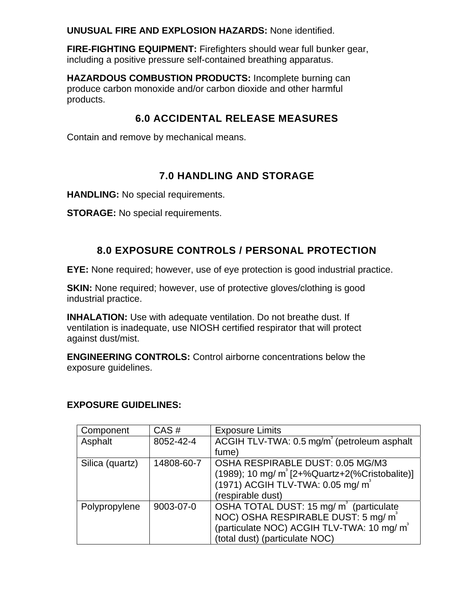**UNUSUAL FIRE AND EXPLOSION HAZARDS:** None identified.

**FIRE-FIGHTING EQUIPMENT:** Firefighters should wear full bunker gear, including a positive pressure self-contained breathing apparatus.

**HAZARDOUS COMBUSTION PRODUCTS:** Incomplete burning can produce carbon monoxide and/or carbon dioxide and other harmful products.

## **6.0 ACCIDENTAL RELEASE MEASURES**

Contain and remove by mechanical means.

## **7.0 HANDLING AND STORAGE**

**HANDLING:** No special requirements.

**STORAGE:** No special requirements.

## **8.0 EXPOSURE CONTROLS / PERSONAL PROTECTION**

**EYE:** None required; however, use of eye protection is good industrial practice.

**SKIN:** None required; however, use of protective gloves/clothing is good industrial practice.

**INHALATION:** Use with adequate ventilation. Do not breathe dust. If ventilation is inadequate, use NIOSH certified respirator that will protect against dust/mist.

**ENGINEERING CONTROLS:** Control airborne concentrations below the exposure guidelines.

#### **EXPOSURE GUIDELINES:**

| Component       | CAS#       | <b>Exposure Limits</b>                                        |
|-----------------|------------|---------------------------------------------------------------|
| Asphalt         | 8052-42-4  | ACGIH TLV-TWA: 0.5 mg/m <sup>3</sup> (petroleum asphalt       |
|                 |            | fume)                                                         |
| Silica (quartz) | 14808-60-7 | OSHA RESPIRABLE DUST: 0.05 MG/M3                              |
|                 |            | $(1989)$ ; 10 mg/ m <sup>3</sup> [2+%Quartz+2(%Cristobalite)] |
|                 |            | (1971) ACGIH TLV-TWA: 0.05 mg/ m <sup>3</sup>                 |
|                 |            | (respirable dust)                                             |
| Polypropylene   | 9003-07-0  | OSHA TOTAL DUST: 15 mg/ m <sup>3</sup> (particulate           |
|                 |            | NOC) OSHA RESPIRABLE DUST: 5 mg/ m <sup>3</sup>               |
|                 |            | (particulate NOC) ACGIH TLV-TWA: 10 mg/ m <sup>3</sup>        |
|                 |            | (total dust) (particulate NOC)                                |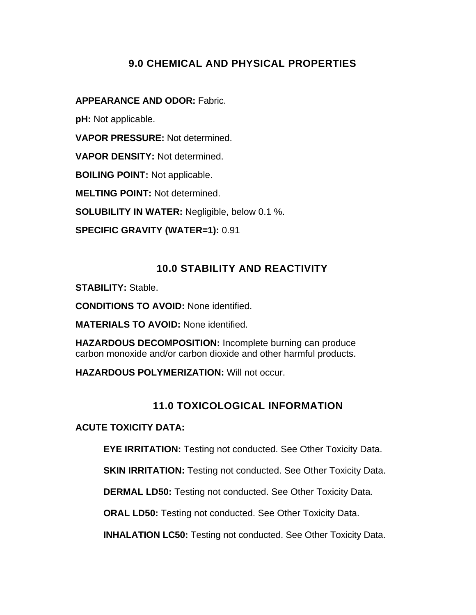## **9.0 CHEMICAL AND PHYSICAL PROPERTIES**

#### **APPEARANCE AND ODOR:** Fabric.

**pH:** Not applicable.

**VAPOR PRESSURE:** Not determined.

**VAPOR DENSITY:** Not determined.

**BOILING POINT:** Not applicable.

**MELTING POINT:** Not determined.

**SOLUBILITY IN WATER:** Negligible, below 0.1 %.

**SPECIFIC GRAVITY (WATER=1):** 0.91

## **10.0 STABILITY AND REACTIVITY**

**STABILITY:** Stable.

**CONDITIONS TO AVOID:** None identified.

**MATERIALS TO AVOID:** None identified.

**HAZARDOUS DECOMPOSITION:** Incomplete burning can produce carbon monoxide and/or carbon dioxide and other harmful products.

**HAZARDOUS POLYMERIZATION:** Will not occur.

## **11.0 TOXICOLOGICAL INFORMATION**

**ACUTE TOXICITY DATA:** 

**EYE IRRITATION:** Testing not conducted. See Other Toxicity Data.

**SKIN IRRITATION:** Testing not conducted. See Other Toxicity Data.

**DERMAL LD50:** Testing not conducted. See Other Toxicity Data.

**ORAL LD50:** Testing not conducted. See Other Toxicity Data.

**INHALATION LC50:** Testing not conducted. See Other Toxicity Data.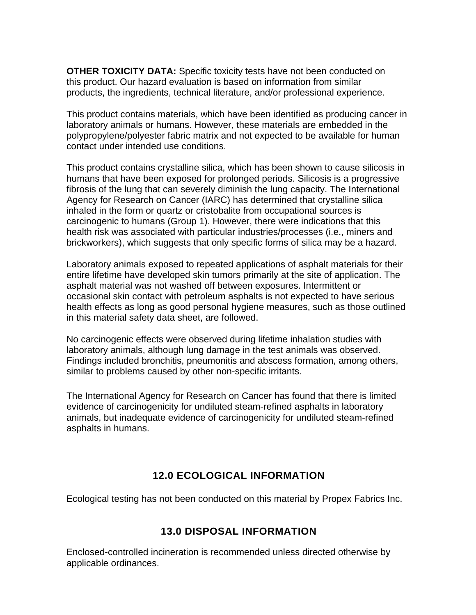**OTHER TOXICITY DATA:** Specific toxicity tests have not been conducted on this product. Our hazard evaluation is based on information from similar products, the ingredients, technical literature, and/or professional experience.

This product contains materials, which have been identified as producing cancer in laboratory animals or humans. However, these materials are embedded in the polypropylene/polyester fabric matrix and not expected to be available for human contact under intended use conditions.

This product contains crystalline silica, which has been shown to cause silicosis in humans that have been exposed for prolonged periods. Silicosis is a progressive fibrosis of the lung that can severely diminish the lung capacity. The International Agency for Research on Cancer (IARC) has determined that crystalline silica inhaled in the form or quartz or cristobalite from occupational sources is carcinogenic to humans (Group 1). However, there were indications that this health risk was associated with particular industries/processes (i.e., miners and brickworkers), which suggests that only specific forms of silica may be a hazard.

Laboratory animals exposed to repeated applications of asphalt materials for their entire lifetime have developed skin tumors primarily at the site of application. The asphalt material was not washed off between exposures. Intermittent or occasional skin contact with petroleum asphalts is not expected to have serious health effects as long as good personal hygiene measures, such as those outlined in this material safety data sheet, are followed.

No carcinogenic effects were observed during lifetime inhalation studies with laboratory animals, although lung damage in the test animals was observed. Findings included bronchitis, pneumonitis and abscess formation, among others, similar to problems caused by other non-specific irritants.

The International Agency for Research on Cancer has found that there is limited evidence of carcinogenicity for undiluted steam-refined asphalts in laboratory animals, but inadequate evidence of carcinogenicity for undiluted steam-refined asphalts in humans.

## **12.0 ECOLOGICAL INFORMATION**

Ecological testing has not been conducted on this material by Propex Fabrics Inc.

## **13.0 DISPOSAL INFORMATION**

Enclosed-controlled incineration is recommended unless directed otherwise by applicable ordinances.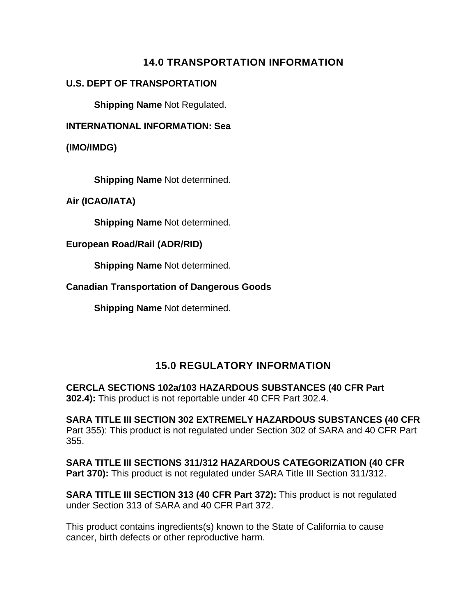## **14.0 TRANSPORTATION INFORMATION**

#### **U.S. DEPT OF TRANSPORTATION**

**Shipping Name** Not Regulated.

**INTERNATIONAL INFORMATION: Sea** 

**(IMO/IMDG)** 

**Shipping Name** Not determined.

**Air (ICAO/IATA)** 

**Shipping Name** Not determined.

#### **European Road/Rail (ADR/RID)**

**Shipping Name** Not determined.

#### **Canadian Transportation of Dangerous Goods**

**Shipping Name** Not determined.

## **15.0 REGULATORY INFORMATION**

**CERCLA SECTIONS 102a/103 HAZARDOUS SUBSTANCES (40 CFR Part 302.4):** This product is not reportable under 40 CFR Part 302.4.

**SARA TITLE III SECTION 302 EXTREMELY HAZARDOUS SUBSTANCES (40 CFR**  Part 355): This product is not regulated under Section 302 of SARA and 40 CFR Part 355.

**SARA TITLE III SECTIONS 311/312 HAZARDOUS CATEGORIZATION (40 CFR Part 370):** This product is not regulated under SARA Title III Section 311/312.

**SARA TITLE III SECTION 313 (40 CFR Part 372):** This product is not regulated under Section 313 of SARA and 40 CFR Part 372.

This product contains ingredients(s) known to the State of California to cause cancer, birth defects or other reproductive harm.